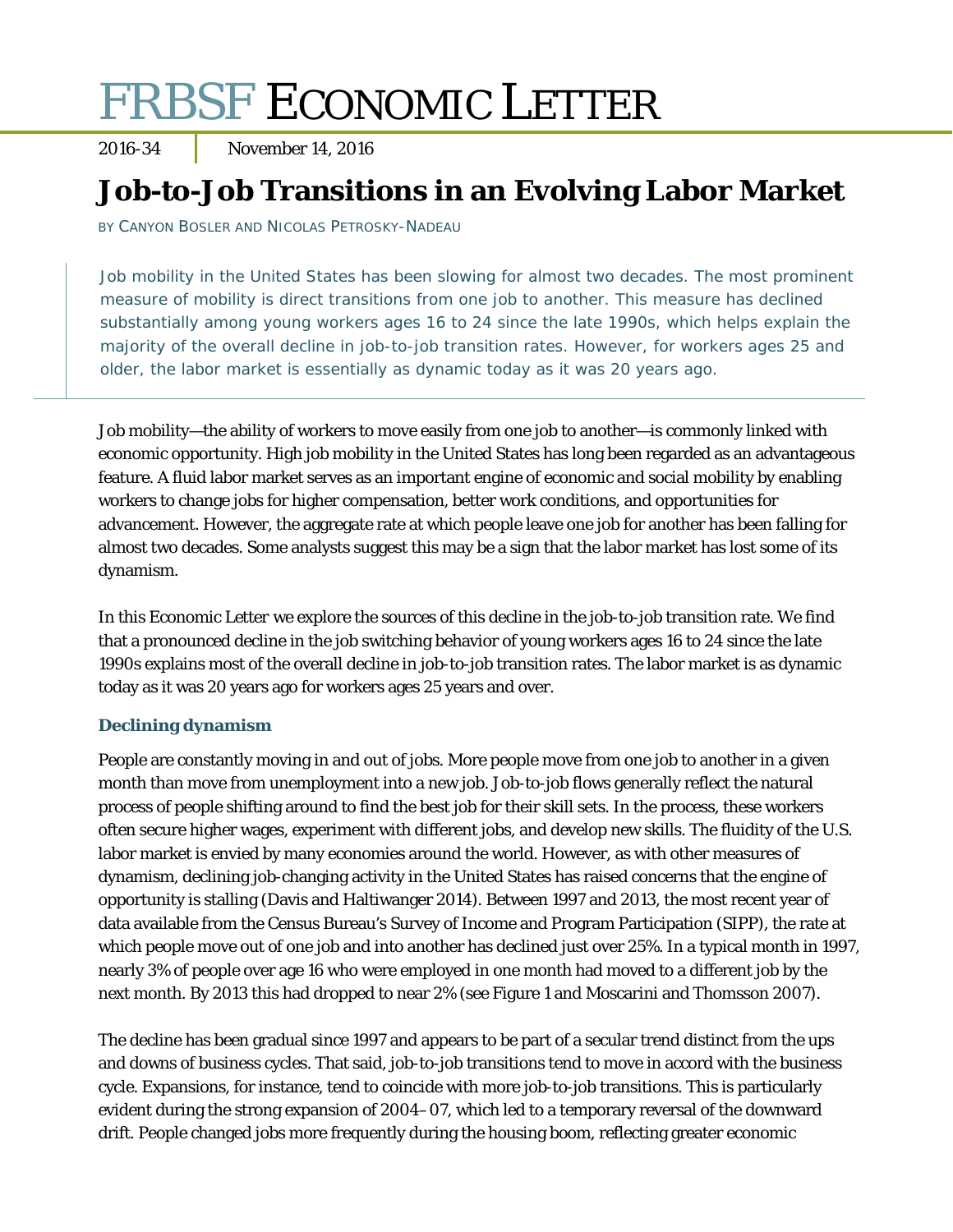# FRBSF ECONOMIC LETTER

2016-34 November 14, 2016

# **Job-to-Job Transitions in an Evolving Labor Market**

BY CANYON BOSLER AND NICOLAS PETROSKY-NADEAU

Job mobility in the United States has been slowing for almost two decades. The most prominent measure of mobility is direct transitions from one job to another. This measure has declined substantially among young workers ages 16 to 24 since the late 1990s, which helps explain the majority of the overall decline in job-to-job transition rates. However, for workers ages 25 and older, the labor market is essentially as dynamic today as it was 20 years ago.

Job mobility—the ability of workers to move easily from one job to another—is commonly linked with economic opportunity. High job mobility in the United States has long been regarded as an advantageous feature. A fluid labor market serves as an important engine of economic and social mobility by enabling workers to change jobs for higher compensation, better work conditions, and opportunities for advancement. However, the aggregate rate at which people leave one job for another has been falling for almost two decades. Some analysts suggest this may be a sign that the labor market has lost some of its dynamism.

In this *Economic Letter* we explore the sources of this decline in the job-to-job transition rate. We find that a pronounced decline in the job switching behavior of young workers ages 16 to 24 since the late 1990s explains most of the overall decline in job-to-job transition rates. The labor market is as dynamic today as it was 20 years ago for workers ages 25 years and over.

## **Declining dynamism**

People are constantly moving in and out of jobs. More people move from one job to another in a given month than move from unemployment into a new job. Job-to-job flows generally reflect the natural process of people shifting around to find the best job for their skill sets. In the process, these workers often secure higher wages, experiment with different jobs, and develop new skills. The fluidity of the U.S. labor market is envied by many economies around the world. However, as with other measures of dynamism, declining job-changing activity in the United States has raised concerns that the engine of opportunity is stalling (Davis and Haltiwanger 2014). Between 1997 and 2013, the most recent year of data available from the Census Bureau's Survey of Income and Program Participation (SIPP), the rate at which people move out of one job and into another has declined just over 25%. In a typical month in 1997, nearly 3% of people over age 16 who were employed in one month had moved to a different job by the next month. By 2013 this had dropped to near 2% (see Figure 1 and Moscarini and Thomsson 2007).

The decline has been gradual since 1997 and appears to be part of a secular trend distinct from the ups and downs of business cycles. That said, job-to-job transitions tend to move in accord with the business cycle. Expansions, for instance, tend to coincide with more job-to-job transitions. This is particularly evident during the strong expansion of 2004–07, which led to a temporary reversal of the downward drift. People changed jobs more frequently during the housing boom, reflecting greater economic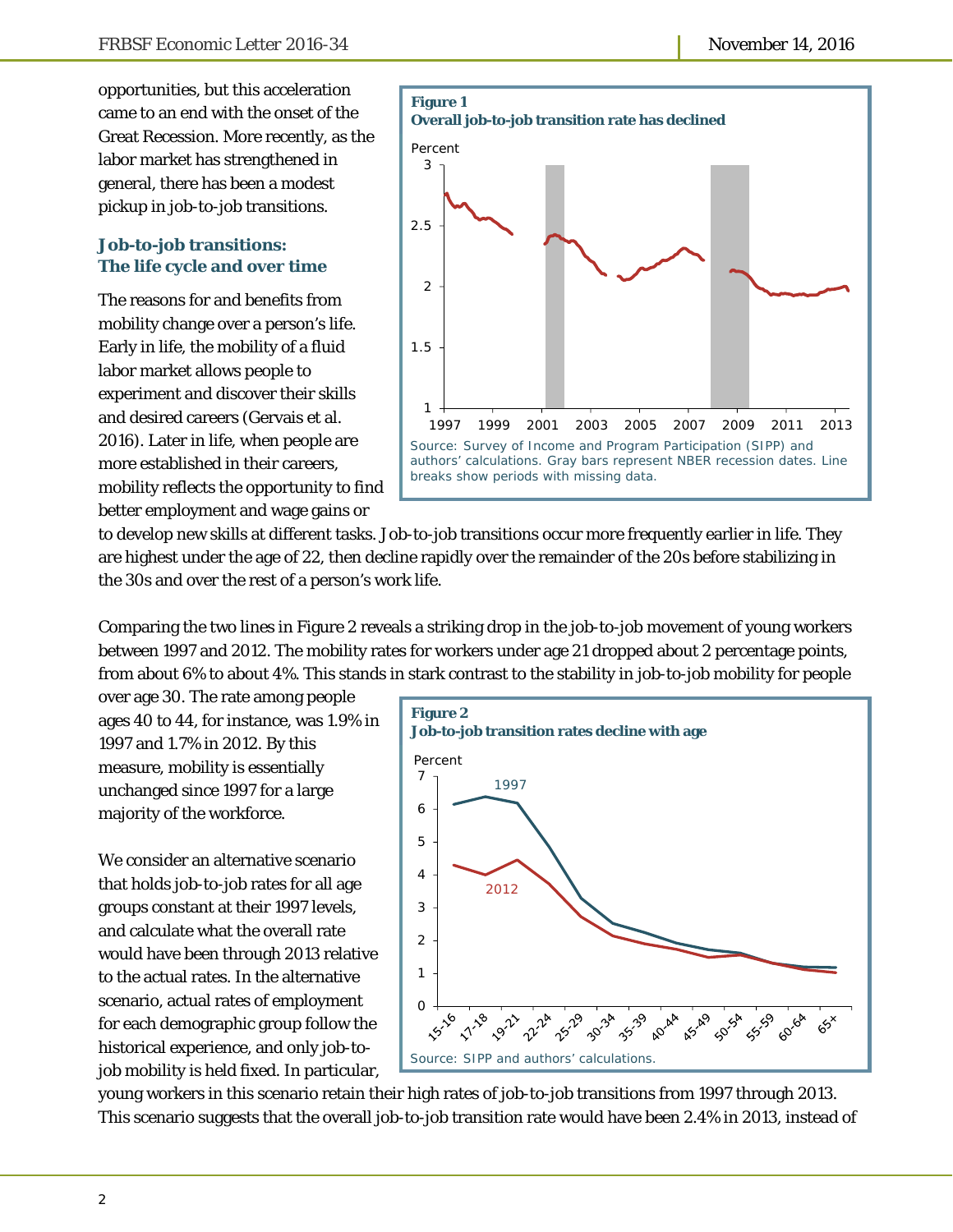opportunities, but this acceleration came to an end with the onset of the Great Recession. More recently, as the labor market has strengthened in general, there has been a modest pickup in job-to-job transitions.

### **Job-to-job transitions: The life cycle and over time**

The reasons for and benefits from mobility change over a person's life. Early in life, the mobility of a fluid labor market allows people to experiment and discover their skills and desired careers (Gervais et al. 2016). Later in life, when people are more established in their careers, mobility reflects the opportunity to find better employment and wage gains or



to develop new skills at different tasks. Job-to-job transitions occur more frequently earlier in life. They are highest under the age of 22, then decline rapidly over the remainder of the 20s before stabilizing in the 30s and over the rest of a person's work life.

Comparing the two lines in Figure 2 reveals a striking drop in the job-to-job movement of young workers between 1997 and 2012. The mobility rates for workers under age 21 dropped about 2 percentage points, from about 6% to about 4%. This stands in stark contrast to the stability in job-to-job mobility for people

over age 30. The rate among people ages 40 to 44, for instance, was 1.9% in 1997 and 1.7% in 2012. By this measure, mobility is essentially unchanged since 1997 for a large majority of the workforce.

We consider an alternative scenario that holds job-to-job rates for all age groups constant at their 1997 levels, and calculate what the overall rate would have been through 2013 relative to the actual rates. In the alternative scenario, actual rates of employment for each demographic group follow the historical experience, and only job-tojob mobility is held fixed. In particular,



young workers in this scenario retain their high rates of job-to-job transitions from 1997 through 2013. This scenario suggests that the overall job-to-job transition rate would have been 2.4% in 2013, instead of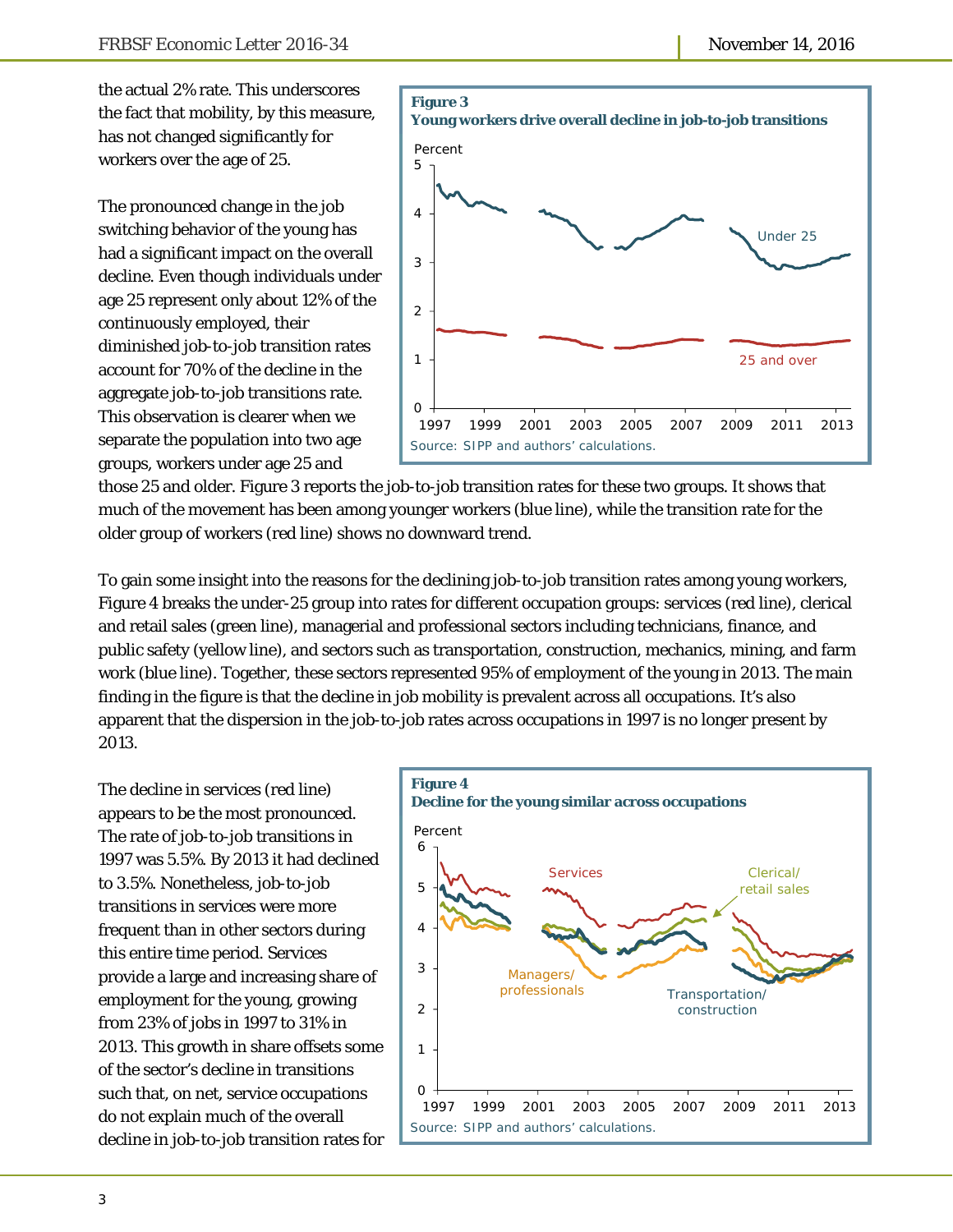the actual 2% rate. This underscores the fact that mobility, by this measure, has not changed significantly for workers over the age of 25.

The pronounced change in the job switching behavior of the young has had a significant impact on the overall decline. Even though individuals under age 25 represent only about 12% of the continuously employed, their diminished job-to-job transition rates account for 70% of the decline in the aggregate job-to-job transitions rate. This observation is clearer when we separate the population into two age groups, workers under age 25 and



those 25 and older. Figure 3 reports the job-to-job transition rates for these two groups. It shows that much of the movement has been among younger workers (blue line), while the transition rate for the older group of workers (red line) shows no downward trend.

To gain some insight into the reasons for the declining job-to-job transition rates among young workers, Figure 4 breaks the under-25 group into rates for different occupation groups: services (red line), clerical and retail sales (green line), managerial and professional sectors including technicians, finance, and public safety (yellow line), and sectors such as transportation, construction, mechanics, mining, and farm work (blue line). Together, these sectors represented 95% of employment of the young in 2013. The main finding in the figure is that the decline in job mobility is prevalent across all occupations. It's also apparent that the dispersion in the job-to-job rates across occupations in 1997 is no longer present by 2013.

The decline in services (red line) appears to be the most pronounced. The rate of job-to-job transitions in 1997 was 5.5%. By 2013 it had declined to 3.5%. Nonetheless, job-to-job transitions in services were more frequent than in other sectors during this entire time period. Services provide a large and increasing share of employment for the young, growing from 23% of jobs in 1997 to 31% in 2013. This growth in share offsets some of the sector's decline in transitions such that, on net, service occupations do not explain much of the overall decline in job-to-job transition rates for

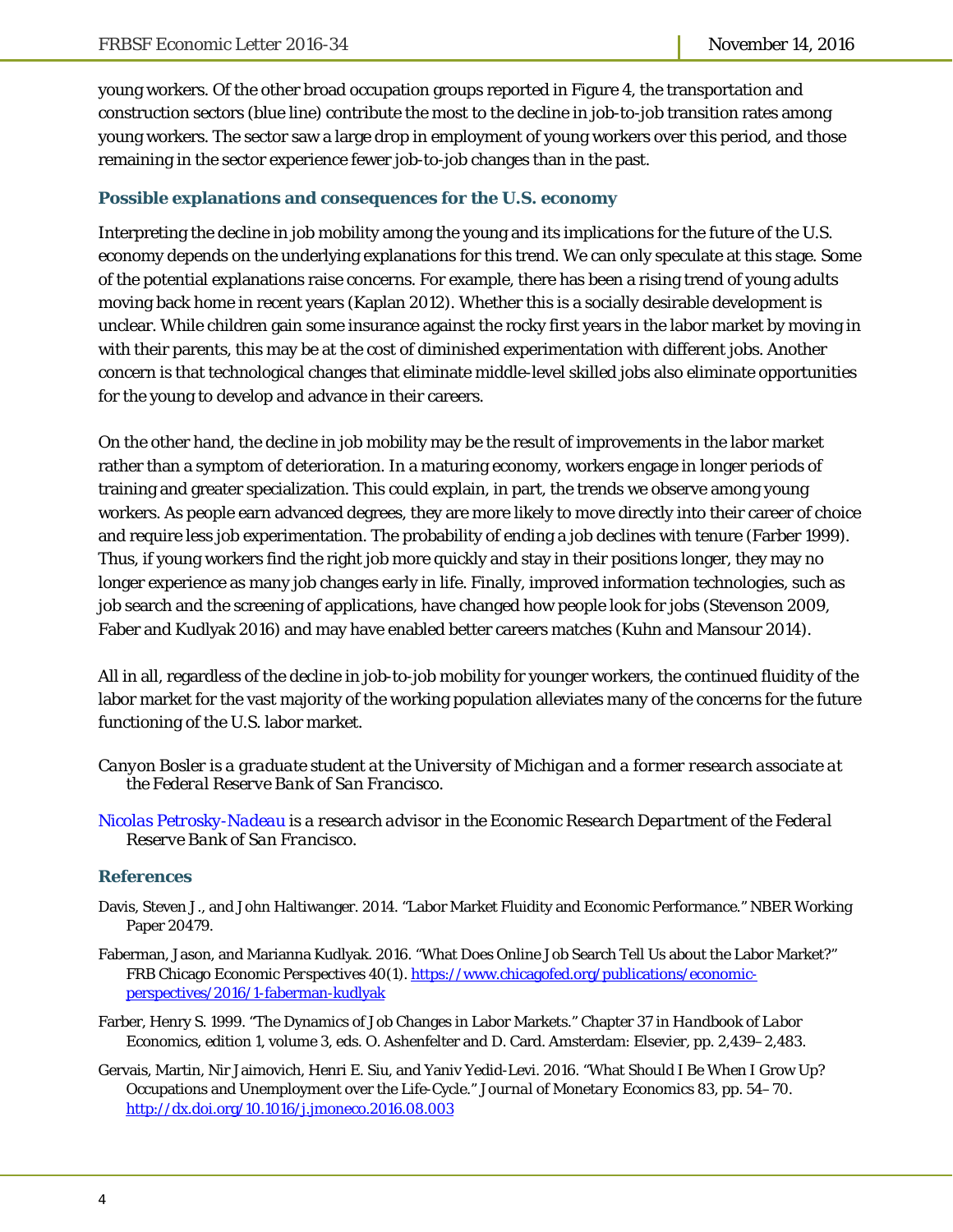young workers. Of the other broad occupation groups reported in Figure 4, the transportation and construction sectors (blue line) contribute the most to the decline in job-to-job transition rates among young workers. The sector saw a large drop in employment of young workers over this period, and those remaining in the sector experience fewer job-to-job changes than in the past.

#### **Possible explanations and consequences for the U.S. economy**

Interpreting the decline in job mobility among the young and its implications for the future of the U.S. economy depends on the underlying explanations for this trend. We can only speculate at this stage. Some of the potential explanations raise concerns. For example, there has been a rising trend of young adults moving back home in recent years (Kaplan 2012). Whether this is a socially desirable development is unclear. While children gain some insurance against the rocky first years in the labor market by moving in with their parents, this may be at the cost of diminished experimentation with different jobs. Another concern is that technological changes that eliminate middle-level skilled jobs also eliminate opportunities for the young to develop and advance in their careers.

On the other hand, the decline in job mobility may be the result of improvements in the labor market rather than a symptom of deterioration. In a maturing economy, workers engage in longer periods of training and greater specialization. This could explain, in part, the trends we observe among young workers. As people earn advanced degrees, they are more likely to move directly into their career of choice and require less job experimentation. The probability of ending a job declines with tenure (Farber 1999). Thus, if young workers find the right job more quickly and stay in their positions longer, they may no longer experience as many job changes early in life. Finally, improved information technologies, such as job search and the screening of applications, have changed how people look for jobs (Stevenson 2009, Faber and Kudlyak 2016) and may have enabled better careers matches (Kuhn and Mansour 2014).

All in all, regardless of the decline in job-to-job mobility for younger workers, the continued fluidity of the labor market for the vast majority of the working population alleviates many of the concerns for the future functioning of the U.S. labor market.

- *Canyon Bosler is a graduate student at the University of Michigan and a former research associate at the Federal Reserve Bank of San Francisco.*
- *Nicolas Petrosky-Nadeau is a research advisor in the Economic Research Department of the Federal Reserve Bank of San Francisco.*

#### **References**

- Davis, Steven J., and John Haltiwanger. 2014. "Labor Market Fluidity and Economic Performance." NBER Working Paper 20479.
- Faberman, Jason, and Marianna Kudlyak. 2016. "What Does Online Job Search Tell Us about the Labor Market?" FRB Chicago *Economic Perspectives* 40(1). https://www.chicagofed.org/publications/economicperspectives/2016/1-faberman-kudlyak
- Farber, Henry S. 1999. "The Dynamics of Job Changes in Labor Markets." Chapter 37 in *Handbook of Labor Economics*, edition 1, volume 3, eds. O. Ashenfelter and D. Card. Amsterdam: Elsevier, pp. 2,439–2,483.
- Gervais, Martin, Nir Jaimovich, Henri E. Siu, and Yaniv Yedid-Levi. 2016. "What Should I Be When I Grow Up? Occupations and Unemployment over the Life-Cycle." *Journal of Monetary Economics* 83, pp. 54–70. http://dx.doi.org/10.1016/j.jmoneco.2016.08.003